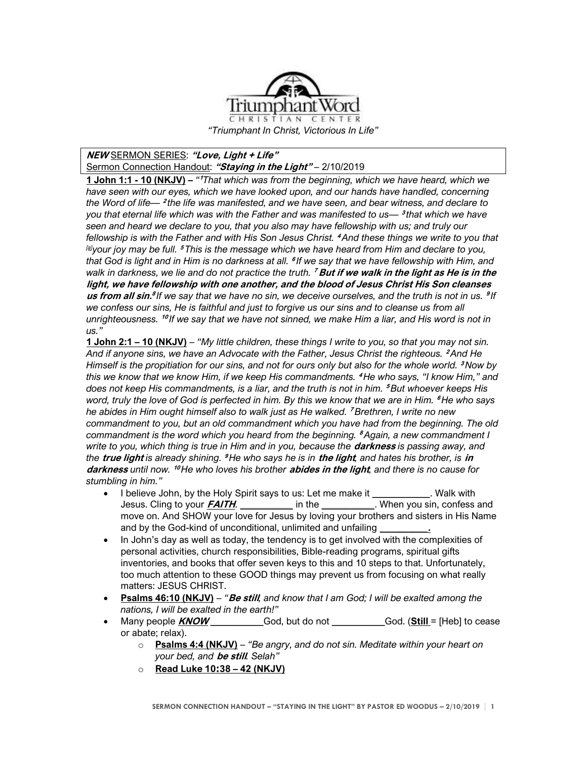

## **NEW** SERMON SERIES: **"Love, Light + Life"** Sermon Connection Handout: **"Staying in the Light"** – 2/10/2019

**1 John 1:1 - 10 (NKJV) –** *"* **<sup>1</sup>***That which was from the beginning, which we have heard, which we have seen with our eyes, which we have looked upon, and our hands have handled, concerning the Word of life—* **<sup>2</sup>** *the life was manifested, and we have seen, and bear witness, and declare to you that eternal life which was with the Father and was manifested to us—* **<sup>3</sup>** *that which we have seen and heard we declare to you, that you also may have fellowship with us; and truly our fellowship is with the Father and with His Son Jesus Christ.* **<sup>4</sup>** *And these things we write to you that [\[a\]](https://www.biblegateway.com/passage/?search=1+John+1%3A1-10&version=NKJV#fen-NKJV-30545a)your joy may be full.* **<sup>5</sup>** *This is the message which we have heard from Him and declare to you, that God is light and in Him is no darkness at all.* **<sup>6</sup>** *If we say that we have fellowship with Him, and walk in darkness, we lie and do not practice the truth.* **<sup>7</sup> But if we walk in the light as He is in the light, we have fellowship with one another, and the blood of Jesus Christ His Son cleanses us from all sin.<sup>8</sup>If we say that we have no sin, we deceive ourselves, and the truth is not in us. <sup>9</sup>If** *we confess our sins, He is faithful and just to forgive us our sins and to cleanse us from all unrighteousness.* **<sup>10</sup>** *If we say that we have not sinned, we make Him a liar, and His word is not in us."*

**1 John 2:1 – 10 (NKJV)** – *"My little children, these things I write to you, so that you may not sin. And if anyone sins, we have an Advocate with the Father, Jesus Christ the righteous.* **<sup>2</sup>** *And He Himself is the propitiation for our sins, and not for ours only but also for the whole world.* **<sup>3</sup>** *Now by this we know that we know Him, if we keep His commandments.* **<sup>4</sup>** *He who says, "I know Him," and does not keep His commandments, is a liar, and the truth is not in him.* **<sup>5</sup>** *But whoever keeps His word, truly the love of God is perfected in him. By this we know that we are in Him.* **<sup>6</sup>** *He who says he abides in Him ought himself also to walk just as He walked.* **<sup>7</sup>** *Brethren, I write no new commandment to you, but an old commandment which you have had from the beginning. The old commandment is the word which you heard from the beginning.* **<sup>8</sup>** *Again, a new commandment I write to you, which thing is true in Him and in you, because the* **darkness** *is passing away, and the* **true light** *is already shining.* **<sup>9</sup>** *He who says he is in* **the light***, and hates his brother, is* **in darkness** *until now.* **<sup>10</sup>** *He who loves his brother* **abides in the light***, and there is no cause for stumbling in him."*

- I believe John, by the Holy Spirit says to us: Let me make it **Walk with** Jesus. Cling to your **FAITH**. **\_\_\_\_\_\_\_\_\_\_\_** in the **\_\_\_\_\_\_\_\_\_\_\_**. When you sin, confess and move on. And SHOW your love for Jesus by loving your brothers and sisters in His Name and by the God-kind of unconditional, unlimited and unfailing
- In John's day as well as today, the tendency is to get involved with the complexities of personal activities, church responsibilities, Bible-reading programs, spiritual gifts inventories, and books that offer seven keys to this and 10 steps to that. Unfortunately, too much attention to these GOOD things may prevent us from focusing on what really matters: JESUS CHRIST.
- **Psalms 46:10 (NKJV)** *"***Be still***, and know that I am God; I will be exalted among the nations, I will be exalted in the earth!"*
- Many people **KNOW \_\_\_\_\_\_\_\_\_\_\_**God, but do not **\_\_\_\_\_\_\_\_\_\_\_**God. (**Still** = [Heb] to cease or abate; relax).
	- o **Psalms 4:4 (NKJV)** *"Be angry, and do not sin. Meditate within your heart on your bed, and* **be still***. Selah"*
	- o **Read Luke 10:38 – 42 (NKJV)**